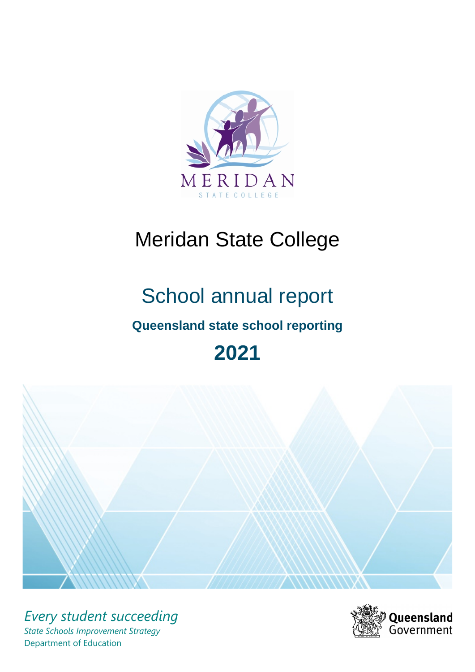

# Meridan State College

# School annual report **Queensland state school reporting 2021**



*Every student succeeding State Schools Improvement Strategy* Department of Education

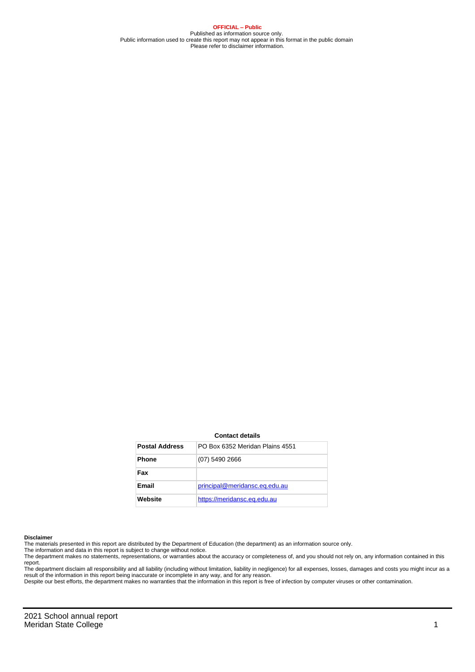**OFFICIAL – Public** Published as information source only. Public information used to create this report may not appear in this format in the public domain Please refer to disclaimer information.

#### **Contact details**

| <b>Postal Address</b> | PO Box 6352 Meridan Plains 4551 |
|-----------------------|---------------------------------|
| <b>Phone</b>          | (07) 5490 2666                  |
| Fax                   |                                 |
| Email                 | principal@meridansc.eq.edu.au   |
| Website               | https://meridansc.eq.edu.au     |

#### **Disclaimer**

The materials presented in this report are distributed by the Department of Education (the department) as an information source only.

The information and data in this report is subject to change without notice.<br>The department makes no statements, representations, or warranties about the accuracy or completeness of, and you should not rely on, any informa report. The department disclaim all responsibility and all liability (including without limitation, liability in negligence) for all expenses, losses, damages and costs you might incur as a

result of the information in this report being inaccurate or incomplete in any way, and for any reason.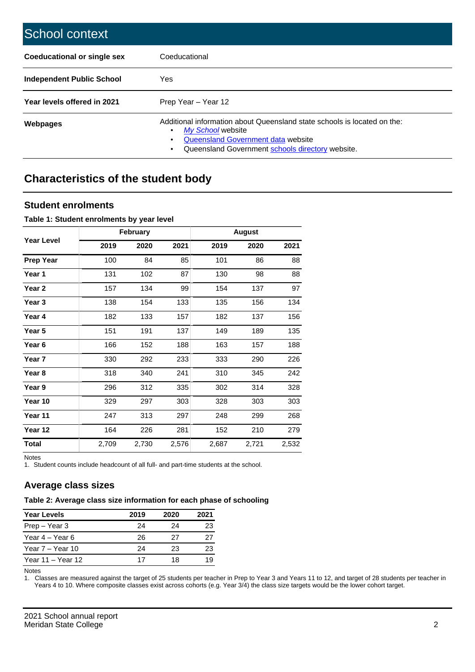| School context                   |                                                                                                                                                                                              |
|----------------------------------|----------------------------------------------------------------------------------------------------------------------------------------------------------------------------------------------|
| Coeducational or single sex      | Coeducational                                                                                                                                                                                |
| <b>Independent Public School</b> | <b>Yes</b>                                                                                                                                                                                   |
| Year levels offered in 2021      | Prep Year - Year 12                                                                                                                                                                          |
| Webpages                         | Additional information about Queensland state schools is located on the:<br>My School website<br>Queensland Government data website<br>Queensland Government schools directory website.<br>٠ |

# **Characteristics of the student body**

## **Student enrolments**

#### **Table 1: Student enrolments by year level**

|                   |       | February |       |       | <b>August</b> |       |
|-------------------|-------|----------|-------|-------|---------------|-------|
| <b>Year Level</b> | 2019  | 2020     | 2021  | 2019  | 2020          | 2021  |
| <b>Prep Year</b>  | 100   | 84       | 85    | 101   | 86            | 88    |
| Year 1            | 131   | 102      | 87    | 130   | 98            | 88    |
| Year 2            | 157   | 134      | 99    | 154   | 137           | 97    |
| Year 3            | 138   | 154      | 133   | 135   | 156           | 134   |
| Year 4            | 182   | 133      | 157   | 182   | 137           | 156   |
| Year 5            | 151   | 191      | 137   | 149   | 189           | 135   |
| Year <sub>6</sub> | 166   | 152      | 188   | 163   | 157           | 188   |
| Year 7            | 330   | 292      | 233   | 333   | 290           | 226   |
| Year 8            | 318   | 340      | 241   | 310   | 345           | 242   |
| Year 9            | 296   | 312      | 335   | 302   | 314           | 328   |
| Year 10           | 329   | 297      | 303   | 328   | 303           | 303   |
| Year 11           | 247   | 313      | 297   | 248   | 299           | 268   |
| Year 12           | 164   | 226      | 281   | 152   | 210           | 279   |
| <b>Total</b>      | 2,709 | 2,730    | 2,576 | 2,687 | 2,721         | 2,532 |

Notes

1. Student counts include headcount of all full- and part-time students at the school.

## **Average class sizes**

## **Table 2: Average class size information for each phase of schooling**

| <b>Year Levels</b> | 2019 | 2020 | 2021 |
|--------------------|------|------|------|
| Prep - Year 3      | 24   | 24   | 23   |
| Year 4 – Year 6    | 26   | 27   | 27   |
| Year 7 – Year 10   | 24   | 23   | 23   |
| Year 11 – Year 12  | 17   | 18   | 19   |

Notes

1. Classes are measured against the target of 25 students per teacher in Prep to Year 3 and Years 11 to 12, and target of 28 students per teacher in Years 4 to 10. Where composite classes exist across cohorts (e.g. Year 3/4) the class size targets would be the lower cohort target.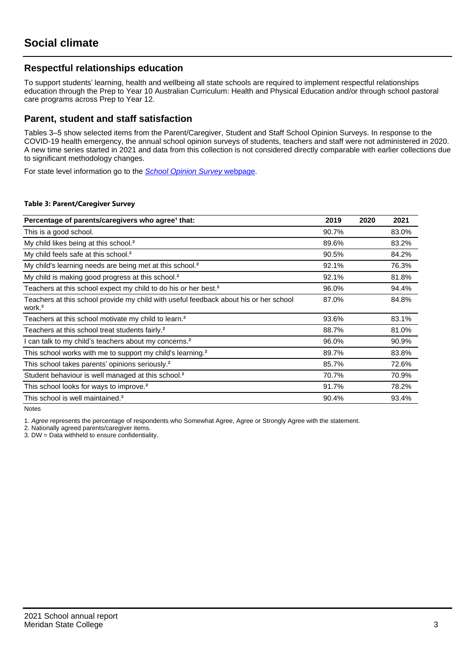## **Respectful relationships education**

To support students' learning, health and wellbeing all state schools are required to implement respectful relationships education through the Prep to Year 10 Australian Curriculum: Health and Physical Education and/or through school pastoral care programs across Prep to Year 12.

## **Parent, student and staff satisfaction**

Tables 3–5 show selected items from the Parent/Caregiver, Student and Staff School Opinion Surveys. In response to the COVID-19 health emergency, the annual school opinion surveys of students, teachers and staff were not administered in 2020. A new time series started in 2021 and data from this collection is not considered directly comparable with earlier collections due to significant methodology changes.

For state level information go to the **[School Opinion Survey](https://qed.qld.gov.au/publications/reports/statistics/schooling/schools/schoolopinionsurvey) webpage**.

#### **Table 3: Parent/Caregiver Survey**

| Percentage of parents/caregivers who agree <sup>1</sup> that:                                               | 2019  | 2020 | 2021  |
|-------------------------------------------------------------------------------------------------------------|-------|------|-------|
| This is a good school.                                                                                      | 90.7% |      | 83.0% |
| My child likes being at this school. <sup>2</sup>                                                           | 89.6% |      | 83.2% |
| My child feels safe at this school. <sup>2</sup>                                                            | 90.5% |      | 84.2% |
| My child's learning needs are being met at this school. <sup>2</sup>                                        | 92.1% |      | 76.3% |
| My child is making good progress at this school. <sup>2</sup>                                               | 92.1% |      | 81.8% |
| Teachers at this school expect my child to do his or her best. <sup>2</sup>                                 | 96.0% |      | 94.4% |
| Teachers at this school provide my child with useful feedback about his or her school<br>work. <sup>2</sup> | 87.0% |      | 84.8% |
| Teachers at this school motivate my child to learn. <sup>2</sup>                                            | 93.6% |      | 83.1% |
| Teachers at this school treat students fairly. <sup>2</sup>                                                 | 88.7% |      | 81.0% |
| I can talk to my child's teachers about my concerns. <sup>2</sup>                                           | 96.0% |      | 90.9% |
| This school works with me to support my child's learning. <sup>2</sup>                                      | 89.7% |      | 83.8% |
| This school takes parents' opinions seriously. <sup>2</sup>                                                 | 85.7% |      | 72.6% |
| Student behaviour is well managed at this school. <sup>2</sup>                                              | 70.7% |      | 70.9% |
| This school looks for ways to improve. <sup>2</sup>                                                         | 91.7% |      | 78.2% |
| This school is well maintained. <sup>2</sup>                                                                | 90.4% |      | 93.4% |

Notes

1. Agree represents the percentage of respondents who Somewhat Agree, Agree or Strongly Agree with the statement.

2. Nationally agreed parents/caregiver items.

3. DW = Data withheld to ensure confidentiality.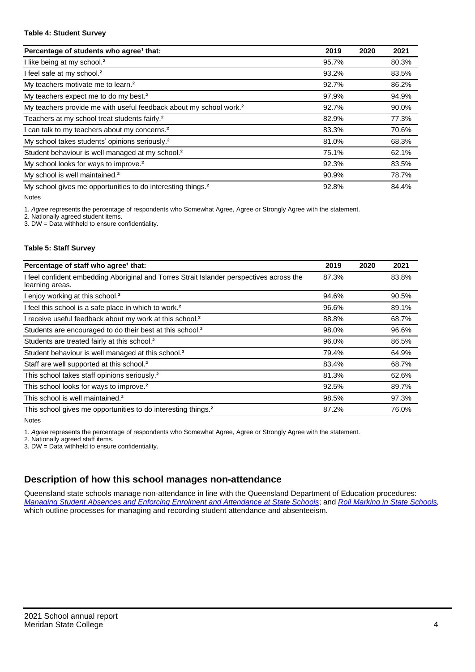#### **Table 4: Student Survey**

| Percentage of students who agree <sup>1</sup> that:                            | 2019  | 2020 | 2021  |
|--------------------------------------------------------------------------------|-------|------|-------|
| I like being at my school. <sup>2</sup>                                        | 95.7% |      | 80.3% |
| I feel safe at my school. <sup>2</sup>                                         | 93.2% |      | 83.5% |
| My teachers motivate me to learn. <sup>2</sup>                                 | 92.7% |      | 86.2% |
| My teachers expect me to do my best. <sup>2</sup>                              | 97.9% |      | 94.9% |
| My teachers provide me with useful feedback about my school work. <sup>2</sup> | 92.7% |      | 90.0% |
| Teachers at my school treat students fairly. <sup>2</sup>                      | 82.9% |      | 77.3% |
| I can talk to my teachers about my concerns. <sup>2</sup>                      | 83.3% |      | 70.6% |
| My school takes students' opinions seriously. <sup>2</sup>                     | 81.0% |      | 68.3% |
| Student behaviour is well managed at my school. <sup>2</sup>                   | 75.1% |      | 62.1% |
| My school looks for ways to improve. <sup>2</sup>                              | 92.3% |      | 83.5% |
| My school is well maintained. <sup>2</sup>                                     | 90.9% |      | 78.7% |
| My school gives me opportunities to do interesting things. <sup>2</sup>        | 92.8% |      | 84.4% |

Notes

1. Agree represents the percentage of respondents who Somewhat Agree, Agree or Strongly Agree with the statement.

2. Nationally agreed student items.

3. DW = Data withheld to ensure confidentiality.

#### **Table 5: Staff Survey**

| Percentage of staff who agree <sup>1</sup> that:                                                            | 2019  | 2020 | 2021  |
|-------------------------------------------------------------------------------------------------------------|-------|------|-------|
| I feel confident embedding Aboriginal and Torres Strait Islander perspectives across the<br>learning areas. | 87.3% |      | 83.8% |
| I enjoy working at this school. <sup>2</sup>                                                                | 94.6% |      | 90.5% |
| I feel this school is a safe place in which to work. <sup>2</sup>                                           | 96.6% |      | 89.1% |
| I receive useful feedback about my work at this school. <sup>2</sup>                                        | 88.8% |      | 68.7% |
| Students are encouraged to do their best at this school. <sup>2</sup>                                       | 98.0% |      | 96.6% |
| Students are treated fairly at this school. <sup>2</sup>                                                    | 96.0% |      | 86.5% |
| Student behaviour is well managed at this school. <sup>2</sup>                                              | 79.4% |      | 64.9% |
| Staff are well supported at this school. <sup>2</sup>                                                       | 83.4% |      | 68.7% |
| This school takes staff opinions seriously. <sup>2</sup>                                                    | 81.3% |      | 62.6% |
| This school looks for ways to improve. <sup>2</sup>                                                         | 92.5% |      | 89.7% |
| This school is well maintained. <sup>2</sup>                                                                | 98.5% |      | 97.3% |
| This school gives me opportunities to do interesting things. <sup>2</sup>                                   | 87.2% |      | 76.0% |

Notes

1. Agree represents the percentage of respondents who Somewhat Agree, Agree or Strongly Agree with the statement.

2. Nationally agreed staff items.

3. DW = Data withheld to ensure confidentiality.

# **Description of how this school manages non-attendance**

Queensland state schools manage non-attendance in line with the Queensland Department of Education procedures: [Managing Student Absences and Enforcing Enrolment and Attendance at State Schools](https://ppr.qed.qld.gov.au/pp/managing-student-absences-and-enforcing-enrolment-and-attendance-at-state-schools-procedure); and [Roll Marking in State Schools,](https://ppr.qed.qld.gov.au/pp/roll-marking-in-state-schools-procedure) which outline processes for managing and recording student attendance and absenteeism.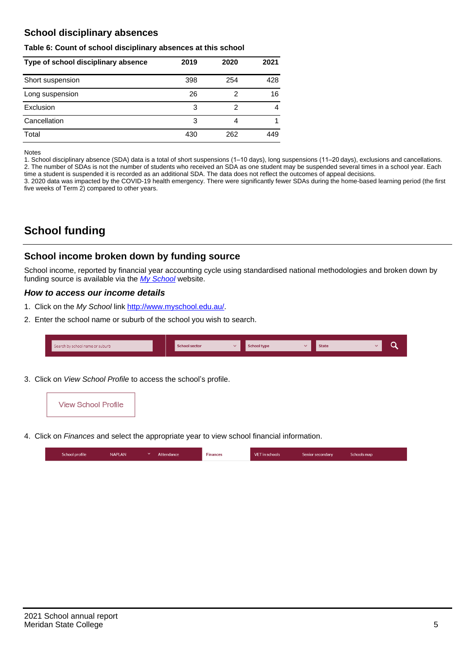# **School disciplinary absences**

#### **Table 6: Count of school disciplinary absences at this school**

| Type of school disciplinary absence | 2019 | 2020 | 2021 |
|-------------------------------------|------|------|------|
| Short suspension                    | 398  | 254  | 428  |
| Long suspension                     | 26   | 2    | 16   |
| Exclusion                           | 3    | 2    | 4    |
| Cancellation                        | 3    | 4    |      |
| Total                               | 430  | 262  | 449  |

Notes

1. School disciplinary absence (SDA) data is a total of short suspensions (1–10 days), long suspensions (11–20 days), exclusions and cancellations. 2. The number of SDAs is not the number of students who received an SDA as one student may be suspended several times in a school year. Each time a student is suspended it is recorded as an additional SDA. The data does not reflect the outcomes of appeal decisions.

3. 2020 data was impacted by the COVID-19 health emergency. There were significantly fewer SDAs during the home-based learning period (the first five weeks of Term 2) compared to other years.

# **School funding**

## **School income broken down by funding source**

School income, reported by financial year accounting cycle using standardised national methodologies and broken down by funding source is available via the [My School](http://www.myschool.edu.au/) website.

### **How to access our income details**

- 1. Click on the My School link <http://www.myschool.edu.au/>.
- 2. Enter the school name or suburb of the school you wish to search.

| Search by school name or suburb | <b>School sector</b> | School type | <b>State</b> |  |
|---------------------------------|----------------------|-------------|--------------|--|
|                                 |                      |             |              |  |

3. Click on View School Profile to access the school's profile.



4. Click on Finances and select the appropriate year to view school financial information.

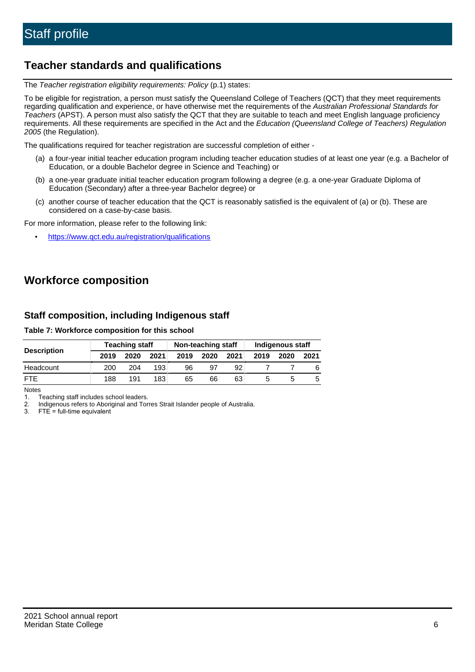# **Teacher standards and qualifications**

The Teacher registration eligibility requirements: Policy (p.1) states:

To be eligible for registration, a person must satisfy the Queensland College of Teachers (QCT) that they meet requirements regarding qualification and experience, or have otherwise met the requirements of the Australian Professional Standards for Teachers (APST). A person must also satisfy the QCT that they are suitable to teach and meet English language proficiency requirements. All these requirements are specified in the Act and the Education (Queensland College of Teachers) Regulation 2005 (the Regulation).

The qualifications required for teacher registration are successful completion of either -

- (a) a four-year initial teacher education program including teacher education studies of at least one year (e.g. a Bachelor of Education, or a double Bachelor degree in Science and Teaching) or
- (b) a one-year graduate initial teacher education program following a degree (e.g. a one-year Graduate Diploma of Education (Secondary) after a three-year Bachelor degree) or
- (c) another course of teacher education that the QCT is reasonably satisfied is the equivalent of (a) or (b). These are considered on a case-by-case basis.

For more information, please refer to the following link:

• <https://www.qct.edu.au/registration/qualifications>

# **Workforce composition**

## **Staff composition, including Indigenous staff**

#### **Table 7: Workforce composition for this school**

|                    | <b>Teaching staff</b> |      |      | Non-teaching staff |      |      | <b>Indigenous staff</b> |      |      |
|--------------------|-----------------------|------|------|--------------------|------|------|-------------------------|------|------|
| <b>Description</b> | 2019                  | 2020 | 2021 | 2019               | 2020 | 2021 | 2019                    | 2020 | 2021 |
| Headcount          | 200                   | 204  | 193  | 96                 | 97   | 92   |                         |      |      |
| <b>FTE</b>         | 188                   | 191  | 183  | 65                 | 66   | 63   |                         |      |      |

Notes

1. Teaching staff includes school leaders.

2. Indigenous refers to Aboriginal and Torres Strait Islander people of Australia.

3. FTE = full-time equivalent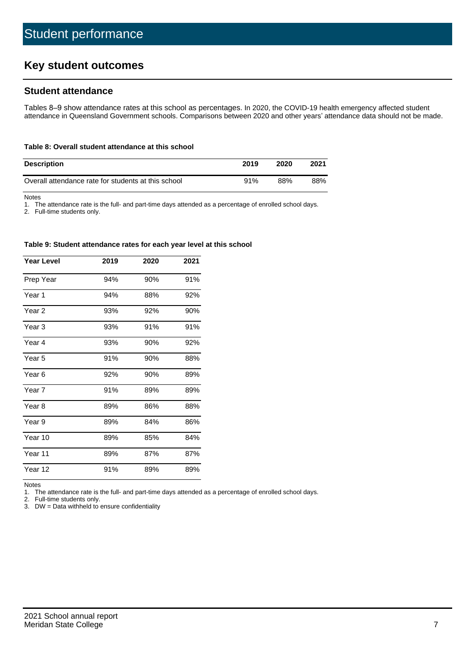# **Key student outcomes**

## **Student attendance**

Tables 8–9 show attendance rates at this school as percentages. In 2020, the COVID-19 health emergency affected student attendance in Queensland Government schools. Comparisons between 2020 and other years' attendance data should not be made.

#### **Table 8: Overall student attendance at this school**

| <b>Description</b>                                  | 2019 | 2020 | 2021 |
|-----------------------------------------------------|------|------|------|
| Overall attendance rate for students at this school | 91%  | 88%  | 88%  |

Notes

1. The attendance rate is the full- and part-time days attended as a percentage of enrolled school days.

2. Full-time students only.

#### **Table 9: Student attendance rates for each year level at this school**

| <b>Year Level</b> | 2019 | 2020 | 2021 |
|-------------------|------|------|------|
| Prep Year         | 94%  | 90%  | 91%  |
| Year 1            | 94%  | 88%  | 92%  |
| Year 2            | 93%  | 92%  | 90%  |
| Year <sub>3</sub> | 93%  | 91%  | 91%  |
| Year 4            | 93%  | 90%  | 92%  |
| Year 5            | 91%  | 90%  | 88%  |
| Year <sub>6</sub> | 92%  | 90%  | 89%  |
| Year 7            | 91%  | 89%  | 89%  |
| Year <sub>8</sub> | 89%  | 86%  | 88%  |
| Year 9            | 89%  | 84%  | 86%  |
| Year 10           | 89%  | 85%  | 84%  |
| Year 11           | 89%  | 87%  | 87%  |
| Year 12           | 91%  | 89%  | 89%  |

Notes<br>1. Th The attendance rate is the full- and part-time days attended as a percentage of enrolled school days.

2. Full-time students only.

3. DW = Data withheld to ensure confidentiality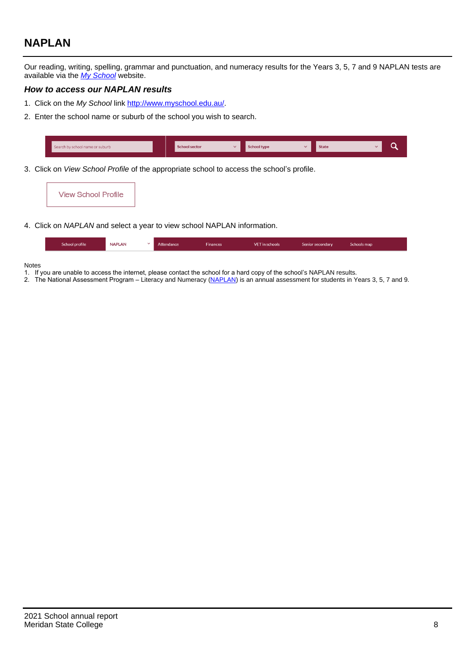# **NAPLAN**

Our reading, writing, spelling, grammar and punctuation, and numeracy results for the Years 3, 5, 7 and 9 NAPLAN tests are available via the [My School](http://www.myschool.edu.au/) website.

#### **How to access our NAPLAN results**

- 1. Click on the My School link <http://www.myschool.edu.au/>.
- 2. Enter the school name or suburb of the school you wish to search.

| Search by school name or suburb | <b>School sector</b> | <b>School type</b>                        |          | <b>State</b> |  |
|---------------------------------|----------------------|-------------------------------------------|----------|--------------|--|
|                                 |                      |                                           |          |              |  |
|                                 |                      | $\sim$ $\sim$ $\sim$ $\sim$ $\sim$ $\sim$ | $\cdots$ |              |  |

3. Click on View School Profile of the appropriate school to access the school's profile.

| <b>View School Profile</b> |
|----------------------------|
|----------------------------|

4. Click on NAPLAN and select a year to view school NAPLAN information.

|  | School profile | <b>NAPLAN</b><br>$\sim$ 1 | Attendance | <b>Finances</b> | <b>VET</b> in schools | Senior secondary | Schools map |
|--|----------------|---------------------------|------------|-----------------|-----------------------|------------------|-------------|
|--|----------------|---------------------------|------------|-----------------|-----------------------|------------------|-------------|

#### Notes

- 1. If you are unable to access the internet, please contact the school for a hard copy of the school's NAPLAN results.
- 2. The National Assessment Program Literacy and Numeracy ([NAPLAN\)](http://www.nap.edu.au/naplan) is an annual assessment for students in Years 3, 5, 7 and 9.